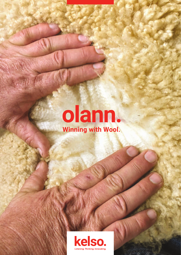olann.<br>Winning with Wool.

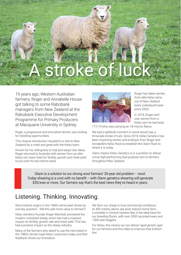# stroke of luck

19 years ago, Western Australian farmers, Roger and Annabelle House got talking to some Rabobank managers from New Zealand at the Rabobank Executive Development Programme for Primary Producers at Macquarie University in Sydney.

Roger, a progressive and innovative farmer, was looking for breeding opportunities.

This chance introduction resulted in a visit to New Zealand for a meet and greet with the Kelso team.

Known for his willingness to trial and adopt new ideas, Roger returned to Australia with semen from an elite Kelso ram team bred for fertility, growth and meat yield to put over his top merino ewes.



Roger has taken semen from elite Kelso rams out of New Zealand every subsequent year since 2003.

In 2018, Roger sent over semen from a Kelso ram he had bred,

177/14 who was carrying an 18-micron fleece.

We had a lightbulb moment or some would say, a fortunate stroke of luck. Since 2018, Kelso Genetics has been importing semen and embryos from Roger and Annabelle's Kelso flock to establish the Olann flock to where it is today.

Olann means Kelso Genetics is in a position to deliver a true high-performing dual purpose ram to farmers throughout New Zealand.

Olann is a solution to our strong wool farmers' 30-year old problem – wool. Today shearing is a cost with no benefit  $-$  with Olann genetics shearing will generate \$30/ewe or more. Our farmers say that's the best news they've heard in years.

### Listening. Thinking. Innovating.

Since Kelso's origins in the 1980's we've been driven by one key question - Will this add more value to farmers?

Kelso Genetics founder Roger Marshall, pioneered the modern crossbred sheep which has had a massive impact on fertility, growth rate and meat yield. This has had a positive impact on the sheep industry.

Many of the farmers who dared to use the new breed in the 1980's remain loyal Kelso customers today and their feedback drives our innovation.

We farm our sheep in true commercial conditions. At 400 metres above sea level, Kelso's home farm, Lunesdale in Central Hawkes Bay is the ideal base for our breeding flocks, with over 3300 recorded ewes and 1500 ewe hoggets.

For Kelso, this means we can deliver rapid genetic gain for our farmers and this helps to improve their bottom line.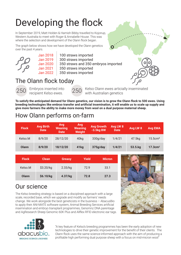# Developing the flock

In September 2019, Matt Holden & Hamish Bibby travelled to Kojonup, Western Australia to meet with Roger & Annabelle House. This was where the selection and development of the Olann flock began.

The graph below shows how we have developed the Olann genetics over the past 4 years.



Jan 2018 | 100 straws imported

- Jan 2019 300 straws imported
- Jan 2020 350 straws and 350 embryos imported
- Jan 2021 350 straws imported
- Jan 2022 350 straws imported



250 Embryos inserted into

recipient Kelso ewes.

250 Kelso Olann ewes articially inseminated with Australian genetics

**To satisfy the anticipated demand for Olann genetics, our vision is to grow the Olann flock to 500 ewes. Using breeding technologies like embryo transfer and artificial insemination, it will enable us to scale up supply and give more farmers the ability to make more money from wool on a dual purpose maternal sheep.** 

## How Olann performs on-farm

| <b>Flock</b> | <b>Avg Birth</b><br><b>Date</b> | Avg<br><b>Weaning</b><br><b>Date</b> | Avg<br><b>Weaning</b><br><b>Weight</b> | <b>Avg Growth</b><br>$-3.5kg$ BW | Avg LW 8<br><b>Date</b> | Avg LW 8 | <b>Avg EMA</b>         |
|--------------|---------------------------------|--------------------------------------|----------------------------------------|----------------------------------|-------------------------|----------|------------------------|
| Kelso.M      | 8/9/20                          | 28/12/20                             | 40kg                                   | 330g/day                         | 1/4/21                  | 47.5kg   | 15.5cm <sup>2</sup>    |
| <b>Olann</b> | 8/9/20                          | 18/12/20                             | 41 <sub>kg</sub>                       | 375g/day                         | 1/4/21                  | 53.5.kg  | $17.3$ cm <sup>2</sup> |

| <b>Flock</b> | <b>Clean</b> | <b>Greasy</b> | Yield | <b>Micron</b> |
|--------------|--------------|---------------|-------|---------------|
| Kelso.M      | \$3.20/kg    | 2.33/kg       | 72.9  | 33.1          |
| Olann        | \$6.10/kg    | 4.37/kg       | 72.8  | 27.3          |



### Our science

The Kelso breeding strategy is based on a disciplined approach with a large scale, recorded base, which we upgrade and modify as farmers' needs change. We work alongside the best geneticists in the business – AbacusBio to apply their ANI-MATE software system, Animal Breeding Services artificial insemination and embryo transplant programmes, Genomnz DNA parentage and AgResearch Sheep Genomic 60K Plus and Allflex RFID electronic ear tags.



"A key feature of Kelso's breeding programmes has been the early adoption of new technologies to drive their genetic improvement for the benefit of their clients. The Olann flock uses the same science-informed approach with the aim of producing a profitable high performing dual purpose sheep with a focus on mid-micron wool"